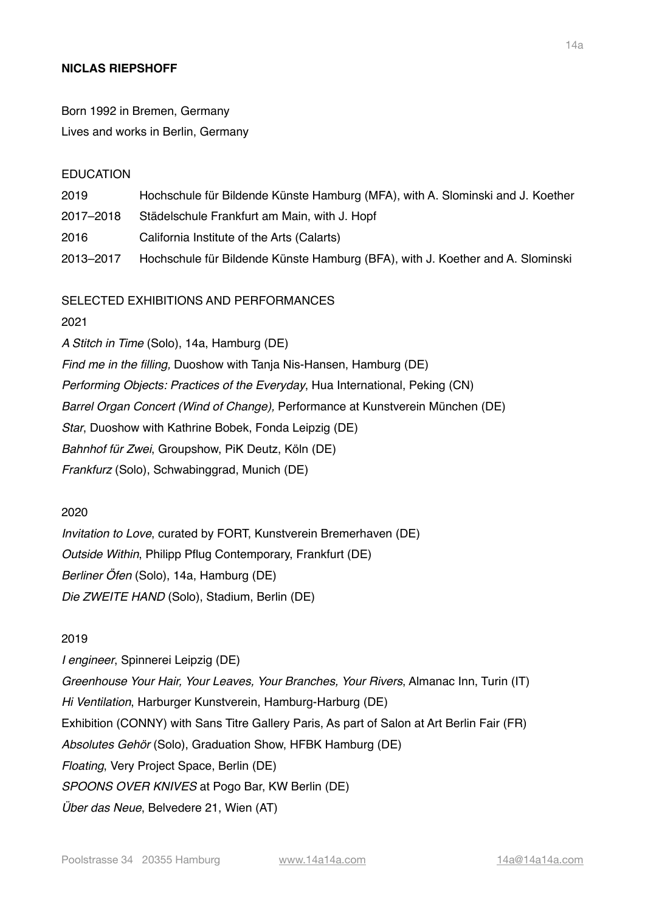# **NICLAS RIEPSHOFF**

Born 1992 in Bremen, Germany Lives and works in Berlin, Germany

## EDUCATION

- 2019 Hochschule für Bildende Künste Hamburg (MFA), with A. Slominski and J. Koether
- 2017–2018 Städelschule Frankfurt am Main, with J. Hopf
- 2016 California Institute of the Arts (Calarts)
- 2013–2017 Hochschule für Bildende Künste Hamburg (BFA), with J. Koether and A. Slominski

### SELECTED EXHIBITIONS AND PERFORMANCES

### 2021

*A Stitch in Time* (Solo), 14a, Hamburg (DE)

*Find me in the filling,* Duoshow with Tanja Nis-Hansen, Hamburg (DE)

*Performing Objects: Practices of the Everyday*, Hua International, Peking (CN)

*Barrel Organ Concert (Wind of Change),* Performance at Kunstverein München (DE)

*Star*, Duoshow with Kathrine Bobek, Fonda Leipzig (DE)

*Bahnhof für Zwei*, Groupshow, PiK Deutz, Köln (DE)

*Frankfurz* (Solo), Schwabinggrad, Munich (DE)

### 2020

*Invitation to Love*, curated by FORT, Kunstverein Bremerhaven (DE) *Outside Within*, Philipp Pflug Contemporary, Frankfurt (DE) *Berliner Öfen* (Solo), 14a, Hamburg (DE) *Die ZWEITE HAND* (Solo), Stadium, Berlin (DE)

## 2019

*I engineer*, Spinnerei Leipzig (DE) *Greenhouse Your Hair, Your Leaves, Your Branches, Your Rivers*, Almanac Inn, Turin (IT) *Hi Ventilation*, Harburger Kunstverein, Hamburg-Harburg (DE) Exhibition (CONNY) with Sans Titre Gallery Paris, As part of Salon at Art Berlin Fair (FR) *Absolutes Gehör* (Solo), Graduation Show, HFBK Hamburg (DE) *Floating*, Very Project Space, Berlin (DE) *SPOONS OVER KNIVES* at Pogo Bar, KW Berlin (DE) *Über das Neue*, Belvedere 21, Wien (AT)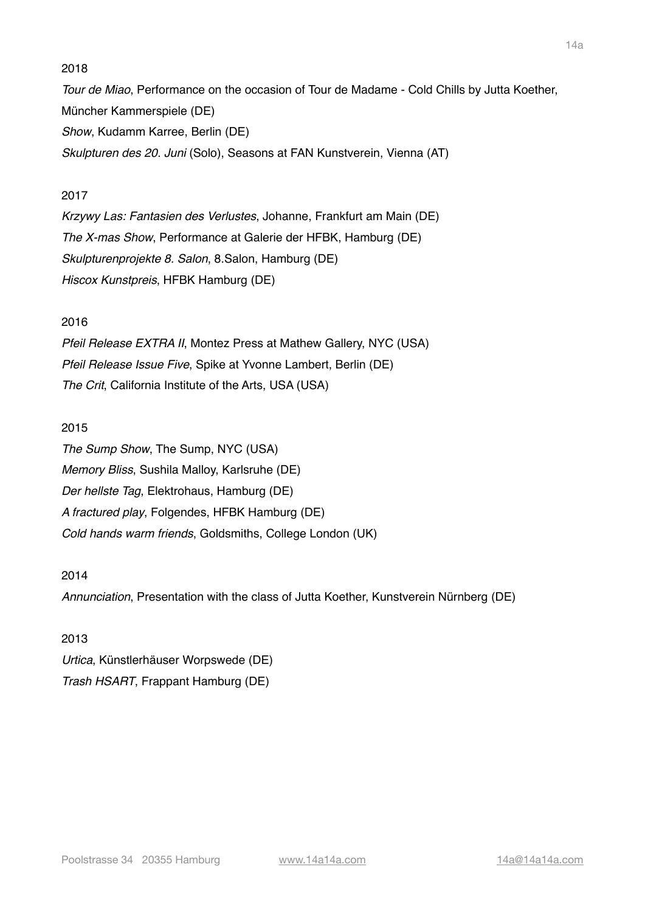### 2018

*Tour de Miao*, Performance on the occasion of Tour de Madame - Cold Chills by Jutta Koether, Müncher Kammerspiele (DE) *Show*, Kudamm Karree, Berlin (DE) *Skulpturen des 20. Juni* (Solo), Seasons at FAN Kunstverein, Vienna (AT)

# 2017

*Krzywy Las: Fantasien des Verlustes*, Johanne, Frankfurt am Main (DE) *The X-mas Show*, Performance at Galerie der HFBK, Hamburg (DE) *Skulpturenprojekte 8. Salon*, 8.Salon, Hamburg (DE) *Hiscox Kunstpreis*, HFBK Hamburg (DE)

# 2016

*Pfeil Release EXTRA II*, Montez Press at Mathew Gallery, NYC (USA) *Pfeil Release Issue Five*, Spike at Yvonne Lambert, Berlin (DE) *The Crit*, California Institute of the Arts, USA (USA)

# 2015

*The Sump Show*, The Sump, NYC (USA) *Memory Bliss*, Sushila Malloy, Karlsruhe (DE) *Der hellste Tag*, Elektrohaus, Hamburg (DE) *A fractured play*, Folgendes, HFBK Hamburg (DE) *Cold hands warm friends*, Goldsmiths, College London (UK)

# 2014

*Annunciation*, Presentation with the class of Jutta Koether, Kunstverein Nürnberg (DE)

2013 *Urtica*, Künstlerhäuser Worpswede (DE) *Trash HSART*, Frappant Hamburg (DE)